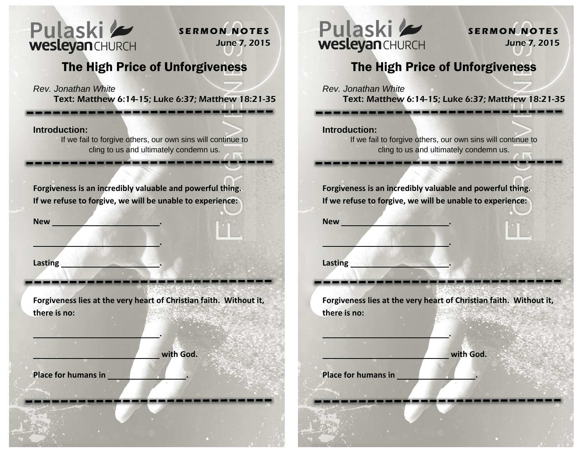

**S E R M O N N O T E S** June 7, 2015

## The High Price of Unforgiveness

*Rev. Jonathan White*

**Text:** Matthew 6:14-15; Luke 6:37; Matthew 18:21-35

-------

**Introduction:** 

If we fail to forgive others, our own sins will continue to cling to us and ultimately condemn us.

**Forgiveness is an incredibly valuable and powerful thing. If we refuse to forgive, we will be unable to experience:** 

 **.** 

 **.** 

**New .** 

**Lasting the contract of the contract of the contract of the contract of the contract of the contract of the contract of the contract of the contract of the contract of the contract of the contract of the contract of the c** 

**Forgiveness lies at the very heart of Christian faith. Without it, there is no:**

 **with God.** 

**Place for humans in .**